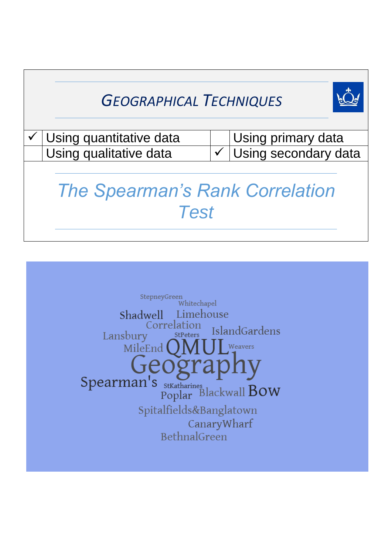## *GEOGRAPHICAL TECHNIQUES*



| $\checkmark$ Using quantitative data | Using primary data                |
|--------------------------------------|-----------------------------------|
| Using qualitative data               | $\checkmark$ Using secondary data |

# *The Spearman's Rank Correlation Test*

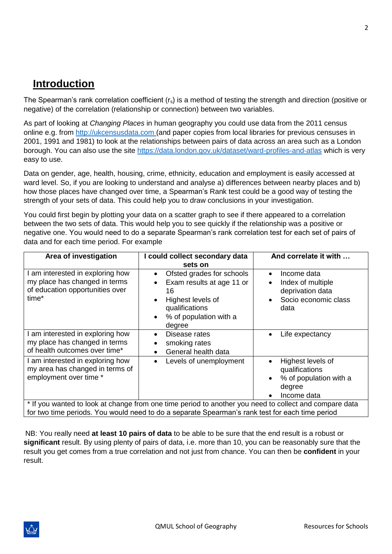### **Introduction**

The Spearman's rank correlation coefficient  $(r_s)$  is a method of testing the strength and direction (positive or negative) of the correlation (relationship or connection) between two variables.

As part of looking at *Changing Places* in human geography you could use data from the 2011 census online e.g. from [http://ukcensusdata.com](http://ukcensusdata.com/) (and paper copies from local libraries for previous censuses in 2001, 1991 and 1981) to look at the relationships between pairs of data across an area such as a London borough. You can also use the site<https://data.london.gov.uk/dataset/ward-profiles-and-atlas> which is very easy to use.

Data on gender, age, health, housing, crime, ethnicity, education and employment is easily accessed at ward level. So, if you are looking to understand and analyse a) differences between nearby places and b) how those places have changed over time, a Spearman's Rank test could be a good way of testing the strength of your sets of data. This could help you to draw conclusions in your investigation.

You could first begin by plotting your data on a scatter graph to see if there appeared to a correlation between the two sets of data. This would help you to see quickly if the relationship was a positive or negative one. You would need to do a separate Spearman's rank correlation test for each set of pairs of data and for each time period. For example

| Area of investigation                                                                                         | I could collect secondary data<br>sets on                                                                                                                                                                 | And correlate it with                                                                                                       |
|---------------------------------------------------------------------------------------------------------------|-----------------------------------------------------------------------------------------------------------------------------------------------------------------------------------------------------------|-----------------------------------------------------------------------------------------------------------------------------|
| I am interested in exploring how<br>my place has changed in terms<br>of education opportunities over<br>time* | Ofsted grades for schools<br>$\bullet$<br>Exam results at age 11 or<br>$\bullet$<br>16<br>Highest levels of<br>$\bullet$<br>qualifications<br>% of population with a<br>$\bullet$<br>degree               | Income data<br>$\bullet$<br>Index of multiple<br>$\bullet$<br>deprivation data<br>Socio economic class<br>$\bullet$<br>data |
| I am interested in exploring how<br>my place has changed in terms<br>of health outcomes over time*            | Disease rates<br>$\bullet$<br>smoking rates<br>General health data<br>$\bullet$                                                                                                                           | Life expectancy<br>$\bullet$                                                                                                |
| I am interested in exploring how<br>my area has changed in terms of<br>employment over time *                 | Levels of unemployment<br>$\bullet$                                                                                                                                                                       | Highest levels of<br>qualifications<br>% of population with a<br>$\bullet$<br>degree<br>Income data                         |
|                                                                                                               | * If you wanted to look at change from one time period to another you need to collect and compare data<br>for two time periods. You would need to do a separate Spearman's rank test for each time period |                                                                                                                             |

NB: You really need **at least 10 pairs of data** to be able to be sure that the end result is a robust or **significant** result. By using plenty of pairs of data, i.e. more than 10, you can be reasonably sure that the result you get comes from a true correlation and not just from chance. You can then be **confident** in your result.

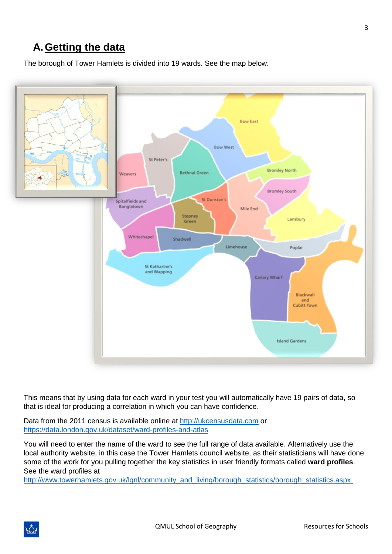## **A.Getting the data**

The borough of Tower Hamlets is divided into 19 wards. See the map below.



This means that by using data for each ward in your test you will automatically have 19 pairs of data, so that is ideal for producing a correlation in which you can have confidence.

Data from the 2011 census is available online at [http://ukcensusdata.com](http://ukcensusdata.com/) or <https://data.london.gov.uk/dataset/ward-profiles-and-atlas>

You will need to enter the name of the ward to see the full range of data available. Alternatively use the local authority website, in this case the Tower Hamlets council website, as their statisticians will have done some of the work for you pulling together the key statistics in user friendly formats called **ward profiles**. See the ward profiles at

[http://www.towerhamlets.gov.uk/lgnl/community\\_and\\_living/borough\\_statistics/borough\\_statistics.aspx.](http://www.towerhamlets.gov.uk/lgnl/community_and_living/borough_statistics/borough_statistics.aspx)

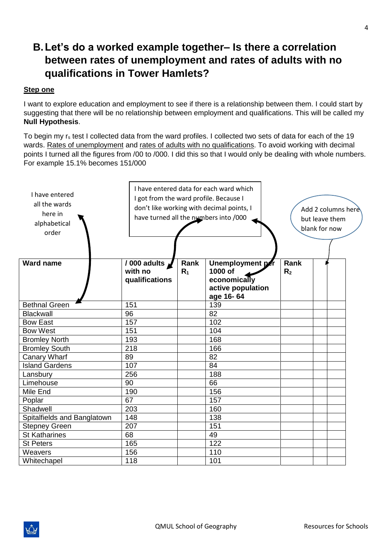## **B.Let's do a worked example together– Is there a correlation between rates of unemployment and rates of adults with no qualifications in Tower Hamlets?**

#### **Step one**

I want to explore education and employment to see if there is a relationship between them. I could start by suggesting that there will be no relationship between employment and qualifications. This will be called my **Null Hypothesis**.

To begin my r<sub>s</sub> test I collected data from the ward profiles. I collected two sets of data for each of the 19 wards. Rates of unemployment and rates of adults with no qualifications. To avoid working with decimal points I turned all the figures from /00 to /000. I did this so that I would only be dealing with whole numbers. For example 15.1% becomes 151/000

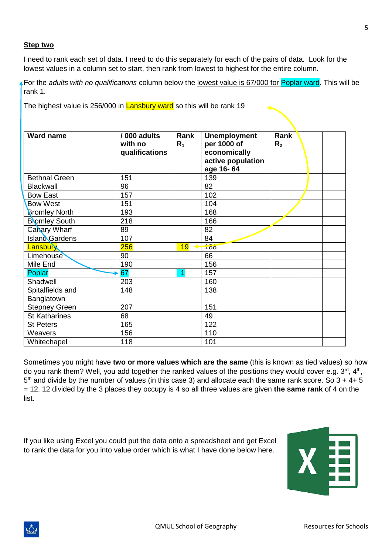#### **Step two**

I need to rank each set of data. I need to do this separately for each of the pairs of data. Look for the lowest values in a column set to start, then rank from lowest to highest for the entire column.

For the *adults with no qualifications* column below the lowest value is 67/000 for Poplar ward. This will be rank 1.

The highest value is 256/000 in **Lansbury ward** so this will be rank 19

| <b>Ward name</b>     | /000 adults<br>with no<br>qualifications | Rank<br>$R_1$ | <b>Unemployment</b><br>per 1000 of<br>economically<br>active population<br>age 16-64 | Rank<br>R <sub>2</sub> |  |
|----------------------|------------------------------------------|---------------|--------------------------------------------------------------------------------------|------------------------|--|
| <b>Bethnal Green</b> | 151                                      |               | 139                                                                                  |                        |  |
| Blackwall            | 96                                       |               | 82                                                                                   |                        |  |
| <b>Bow East</b>      | 157                                      |               | 102                                                                                  |                        |  |
| <b>Bow West</b>      | 151                                      |               | 104                                                                                  |                        |  |
| <b>Bromley North</b> | 193                                      |               | 168                                                                                  |                        |  |
| <b>Bromley South</b> | 218                                      |               | 166                                                                                  |                        |  |
| Canary Wharf         | 89                                       |               | 82                                                                                   |                        |  |
| Island Gardens       | 107                                      |               | 84                                                                                   |                        |  |
| Lansbury             | 256                                      | 19            | $\overline{168}$                                                                     |                        |  |
| <b>Limehouse</b>     | 90                                       |               | 66                                                                                   |                        |  |
| Mile End             | 190                                      |               | 156                                                                                  |                        |  |
| Poplar               | 67                                       | 1             | 157                                                                                  |                        |  |
| Shadwell             | 203                                      |               | 160                                                                                  |                        |  |
| Spitalfields and     | 148                                      |               | 138                                                                                  |                        |  |
| Banglatown           |                                          |               |                                                                                      |                        |  |
| <b>Stepney Green</b> | 207                                      |               | 151                                                                                  |                        |  |
| <b>St Katharines</b> | 68                                       |               | 49                                                                                   |                        |  |
| <b>St Peters</b>     | 165                                      |               | 122                                                                                  |                        |  |
| Weavers              | 156                                      |               | 110                                                                                  |                        |  |
| Whitechapel          | 118                                      |               | 101                                                                                  |                        |  |

Sometimes you might have **two or more values which are the same** (this is known as tied values) so how do you rank them? Well, you add together the ranked values of the positions they would cover e.g. 3<sup>rd</sup>, 4<sup>th</sup>,  $5<sup>th</sup>$  and divide by the number of values (in this case 3) and allocate each the same rank score. So  $3 + 4 + 5$ = 12. 12 divided by the 3 places they occupy is 4 so all three values are given **the same rank** of 4 on the list.

If you like using Excel you could put the data onto a spreadsheet and get Excel to rank the data for you into value order which is what I have done below here.



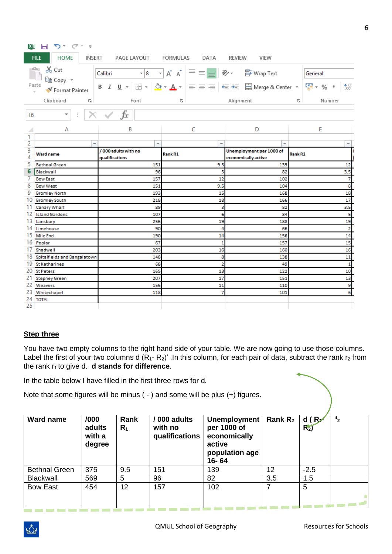| ∣X∄      | つ‐ (マ・ =<br>ы                                                                                                                                                    |                                       |                           |                                                 |                                      |  |  |
|----------|------------------------------------------------------------------------------------------------------------------------------------------------------------------|---------------------------------------|---------------------------|-------------------------------------------------|--------------------------------------|--|--|
|          | <b>HOME</b><br><b>FILE</b><br>INSERT                                                                                                                             | PAGE LAYOUT                           | FORMULAS<br>DATA          | REVIEW<br>VIEW                                  |                                      |  |  |
|          | oo Cut<br>$\mathbf{A} \mathbf{A}$<br>$\epsilon = \epsilon$ $\epsilon$<br>he Wrap Text<br>$\mathbf{r}$ 8<br>Calibri<br>General                                    |                                       |                           |                                                 |                                      |  |  |
|          | 暭 Copy ▼<br>Paste<br>B <i>I</i> U - ⊞ - <mark>☆ - A</mark> - ≡ ≡ ≡ ∈ ∈ ≡ 国 Merge & Center - 「 <del>⊆</del> - % <i>」</i><br>$^{+.0}_{.00}$<br>Format Painter<br>÷ |                                       |                           |                                                 |                                      |  |  |
|          |                                                                                                                                                                  |                                       |                           |                                                 |                                      |  |  |
|          | Clipboard<br>$\overline{\Gamma_{20}}$ .                                                                                                                          | Font                                  | $\overline{\mathbb{F}_2}$ | Alignment                                       | $\overline{\Gamma_{20}}$ .<br>Number |  |  |
| 16       | ÷<br>▼                                                                                                                                                           | fx                                    |                           |                                                 |                                      |  |  |
|          | А                                                                                                                                                                | B                                     | C                         | D                                               | E                                    |  |  |
| 1        |                                                                                                                                                                  |                                       |                           |                                                 |                                      |  |  |
| 2        | ÷                                                                                                                                                                | ÷                                     | ÷                         | ÷                                               |                                      |  |  |
| 3<br>4   | Ward name                                                                                                                                                        | /000 adults with no<br>qualifications | <b>Rank R1</b>            | Unemployment per 1000 of<br>economically active | Rank R <sub>2</sub>                  |  |  |
| 5        | <b>Bethnal Green</b>                                                                                                                                             | 151                                   | 9.5                       | 139                                             | 12                                   |  |  |
| 6        | Blackwall                                                                                                                                                        | 96                                    | 5                         | 82                                              | 3.5                                  |  |  |
| 7        | <b>Bow East</b>                                                                                                                                                  | 157                                   | 12                        | 102                                             | 7                                    |  |  |
| 8        | <b>Bow West</b>                                                                                                                                                  | 151                                   | 9.5                       | 104                                             | 8                                    |  |  |
| 9        | <b>Bromley North</b>                                                                                                                                             | 193                                   | 15                        | 168                                             | 18                                   |  |  |
| 10       | <b>Bromley South</b>                                                                                                                                             | 218                                   | 18                        | 166                                             | 17                                   |  |  |
| 11       | Canary Wharf                                                                                                                                                     | 89                                    | 3                         | 82                                              | 3.5                                  |  |  |
| 12<br>13 | <b>Island Gardens</b>                                                                                                                                            | 107                                   | 6                         | 84                                              | 5<br>19                              |  |  |
| 14       | Lansbury<br>Limehouse                                                                                                                                            | 256<br>90                             | 19<br>4                   | 188<br>66                                       | $\overline{2}$                       |  |  |
| 15       | Mile End                                                                                                                                                         | 190                                   | 14                        | 156                                             | 14                                   |  |  |
| 16       | Poplar                                                                                                                                                           | 67                                    | $\mathbf{1}$              | 157                                             | 15                                   |  |  |
| 17       | Shadwell                                                                                                                                                         | 203                                   | 16                        | 160                                             | 16                                   |  |  |
|          | 18 Spitalfields and Bangalatown                                                                                                                                  | 148                                   | 8                         | 138                                             | 11                                   |  |  |
|          | 19 St Katharines                                                                                                                                                 | 68                                    | $\overline{2}$            | 49                                              | 1                                    |  |  |
| 20       | <b>St Peters</b>                                                                                                                                                 | 165                                   | 13                        | 122                                             | 10                                   |  |  |
| 21       | <b>Stepney Green</b>                                                                                                                                             | 207                                   | 17                        | 151                                             | 13                                   |  |  |
| 22       | Weavers                                                                                                                                                          | 156                                   | 11                        | 110                                             | 9                                    |  |  |
| 23       | Whitechapel                                                                                                                                                      | 118                                   | 7                         | 101                                             | 6                                    |  |  |
| 24       | <b>TOTAL</b>                                                                                                                                                     |                                       |                           |                                                 |                                      |  |  |
| 25       |                                                                                                                                                                  |                                       |                           |                                                 |                                      |  |  |

#### **Step three**

You have two empty columns to the right hand side of your table. We are now going to use those columns. Label the first of your two columns d  $(R_1-R_2)$ '. In this column, for each pair of data, subtract the rank r<sub>2</sub> from the rank r<sub>1</sub> to give d. **d stands for difference**.

In the table below I have filled in the first three rows for d.

Note that some figures will be minus ( - ) and some will be plus (+) figures.

| <b>Ward name</b>     | /000<br>adults<br>with a<br>degree | Rank<br>$R_1$ | / 000 adults<br>with no<br>qualifications | <b>Unemployment</b><br>per 1000 of<br>economically<br>active<br>population age<br>16-64 | Rank $R_2$ | d(R)<br>$R_{2}$ | $\mathbf{d}_{2}$ |
|----------------------|------------------------------------|---------------|-------------------------------------------|-----------------------------------------------------------------------------------------|------------|-----------------|------------------|
| <b>Bethnal Green</b> | 375                                | 9.5           | 151                                       | 139                                                                                     | 12         | $-2.5$          |                  |
| <b>Blackwall</b>     | 569                                | 5             | 96                                        | 82                                                                                      | 3.5        | 1.5             |                  |
| <b>Bow East</b>      | 454                                | 12            | 157                                       | 102                                                                                     |            | 5               |                  |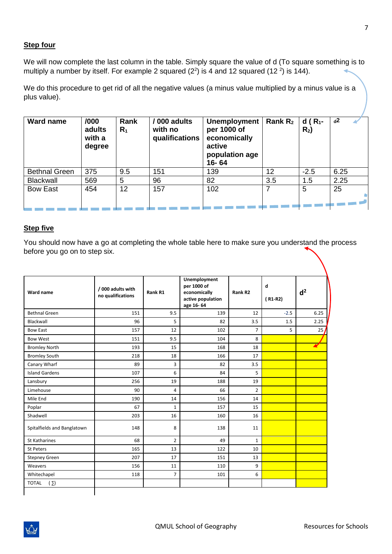#### **Step four**

We will now complete the last column in the table. Simply square the value of d (To square something is to multiply a number by itself. For example 2 squared  $(2^2)$  is 4 and 12 squared  $(12^2)$  is 144).

We do this procedure to get rid of all the negative values (a minus value multiplied by a minus value is a plus value).

| <b>Ward name</b>     | /000<br>adults<br>with a<br>degree | <b>Rank</b><br>$R_1$ | /000 adults<br>with no<br>qualifications | Unemployment<br>per 1000 of<br>economically<br>active<br>population age<br>16-64 | Rank $R_2$ | d ( $R_1$ -<br>$R_2$ | $d^2$ |
|----------------------|------------------------------------|----------------------|------------------------------------------|----------------------------------------------------------------------------------|------------|----------------------|-------|
| <b>Bethnal Green</b> | 375                                | 9.5                  | 151                                      | 139                                                                              | 12         | $-2.5$               | 6.25  |
| <b>Blackwall</b>     | 569                                | 5                    | 96                                       | 82                                                                               | 3.5        | 1.5                  | 2.25  |
| <b>Bow East</b>      | 454                                | 12                   | 157                                      | 102                                                                              |            | 5                    | 25    |

#### **Step five**

You should now have a go at completing the whole table here to make sure you understand the process before you go on to step six.

| Ward name                   | / 000 adults with<br>no qualifications | Rank R1        | Unemployment<br>per 1000 of<br>economically<br>active population<br>age 16-64 | Rank R <sub>2</sub> | d<br>$(R1-R2)$ | d <sup>2</sup> |
|-----------------------------|----------------------------------------|----------------|-------------------------------------------------------------------------------|---------------------|----------------|----------------|
| <b>Bethnal Green</b>        | 151                                    | 9.5            | 139                                                                           | 12                  | $-2.5$         | 6.25           |
| Blackwall                   | 96                                     | 5              | 82                                                                            | 3.5                 | 1.5            | 2.25           |
| <b>Bow East</b>             | 157                                    | 12             | 102                                                                           | $\overline{7}$      | 5              | 25/            |
| <b>Bow West</b>             | 151                                    | 9.5            | 104                                                                           | 8                   |                |                |
| <b>Bromley North</b>        | 193                                    | 15             | 168                                                                           | 18                  |                |                |
| <b>Bromley South</b>        | 218                                    | 18             | 166                                                                           | 17                  |                |                |
| Canary Wharf                | 89                                     | 3              | 82                                                                            | 3.5                 |                |                |
| <b>Island Gardens</b>       | 107                                    | 6              | 84                                                                            | 5                   |                |                |
| Lansbury                    | 256                                    | 19             | 188                                                                           | 19                  |                |                |
| Limehouse                   | 90                                     | 4              | 66                                                                            | $\overline{2}$      |                |                |
| Mile End                    | 190                                    | 14             | 156                                                                           | 14                  |                |                |
| Poplar                      | 67                                     | $\mathbf{1}$   | 157                                                                           | 15                  |                |                |
| Shadwell                    | 203                                    | 16             | 160                                                                           | 16                  |                |                |
| Spitalfields and Banglatown | 148                                    | 8              | 138                                                                           | 11                  |                |                |
| <b>St Katharines</b>        | 68                                     | $\overline{2}$ | 49                                                                            | $\mathbf{1}$        |                |                |
| <b>St Peters</b>            | 165                                    | 13             | 122                                                                           | 10                  |                |                |
| <b>Stepney Green</b>        | 207                                    | 17             | 151                                                                           | 13                  |                |                |
| Weavers                     | 156                                    | 11             | 110                                                                           | 9                   |                |                |
| Whitechapel                 | 118                                    | $\overline{7}$ | 101                                                                           | 6                   |                |                |
| <b>TOTAL</b><br>(5)         |                                        |                |                                                                               |                     |                |                |

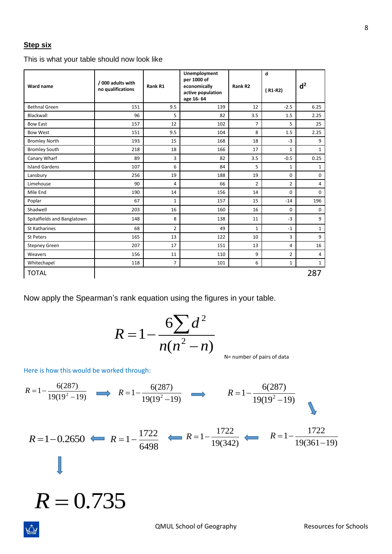#### **Step six**

This is what your table should now look like

| Ward name                   | / 000 adults with<br>no qualifications | Rank R1        | Unemployment<br>per 1000 of<br>economically<br>active population<br>age 16-64 | Rank R <sub>2</sub> | d<br>$(R1-R2)$ | d <sup>2</sup> |
|-----------------------------|----------------------------------------|----------------|-------------------------------------------------------------------------------|---------------------|----------------|----------------|
| <b>Bethnal Green</b>        | 151                                    | 9.5            | 139                                                                           | 12                  | $-2.5$         | 6.25           |
| Blackwall                   | 96                                     | 5              | 82                                                                            | 3.5                 | 1.5            | 2.25           |
| <b>Bow East</b>             | 157                                    | 12             | 102                                                                           | $\overline{7}$      | 5              | 25             |
| <b>Bow West</b>             | 151                                    | 9.5            | 104                                                                           | 8                   | 1.5            | 2.25           |
| <b>Bromley North</b>        | 193                                    | 15             | 168                                                                           | 18                  | $-3$           | 9              |
| <b>Bromley South</b>        | 218                                    | 18             | 166                                                                           | 17                  | $\mathbf{1}$   | $\mathbf{1}$   |
| Canary Wharf                | 89                                     | 3              | 82                                                                            | 3.5                 | $-0.5$         | 0.25           |
| <b>Island Gardens</b>       | 107                                    | 6              | 84                                                                            | 5                   | $\mathbf{1}$   | $\mathbf{1}$   |
| Lansbury                    | 256                                    | 19             | 188                                                                           | 19                  | 0              | $\mathbf 0$    |
| Limehouse                   | 90                                     | 4              | 66                                                                            | $\overline{2}$      | $\overline{2}$ | $\overline{4}$ |
| Mile End                    | 190                                    | 14             | 156                                                                           | 14                  | $\Omega$       | $\mathbf 0$    |
| Poplar                      | 67                                     | 1              | 157                                                                           | 15                  | $-14$          | 196            |
| Shadwell                    | 203                                    | 16             | 160                                                                           | 16                  | $\Omega$       | $\mathbf 0$    |
| Spitalfields and Banglatown | 148                                    | 8              | 138                                                                           | 11                  | $-3$           | 9              |
| St Katharines               | 68                                     | $\overline{2}$ | 49                                                                            | $\mathbf{1}$        | $-1$           | $\mathbf{1}$   |
| <b>St Peters</b>            | 165                                    | 13             | 122                                                                           | 10                  | 3              | 9              |
| <b>Stepney Green</b>        | 207                                    | 17             | 151                                                                           | 13                  | 4              | 16             |
| Weavers                     | 156                                    | 11             | 110                                                                           | 9                   | $\overline{2}$ | 4              |
| Whitechapel                 | 118                                    | $\overline{7}$ | 101                                                                           | 6                   | $\mathbf{1}$   | $\mathbf{1}$   |
| <b>TOTAL</b>                |                                        |                |                                                                               |                     |                | 287            |

Now apply the Spearman's rank equation using the figures in your table.

$$
R = 1 - \frac{6\sum d^2}{n(n^2 - n)}
$$

N= number of pairs of data

Here is how this would be worked through:

rÖ4

$$
R = 1 - \frac{6(287)}{19(19^2 - 19)} \implies R = 1 - \frac{6(287)}{19(19^2 - 19)} \implies R = 1 - \frac{6(287)}{19(19^2 - 19)}
$$
  
\n
$$
R = 1 - 0.2650 \implies R = 1 - \frac{1722}{6498} \implies R = 1 - \frac{1722}{19(342)} \implies R = 1 - \frac{1722}{19(361 - 19)}
$$
  
\n
$$
R = 0.735
$$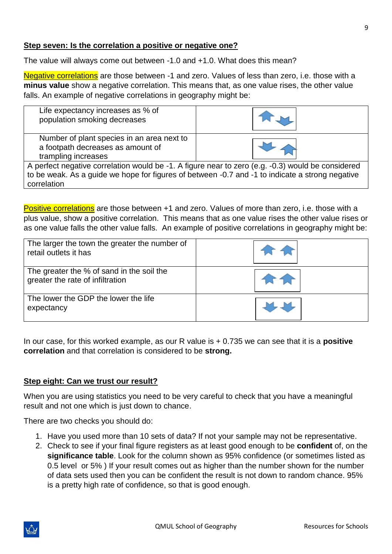#### **Step seven: Is the correlation a positive or negative one?**

The value will always come out between -1.0 and +1.0. What does this mean?

Negative correlations are those between -1 and zero. Values of less than zero, i.e. those with a **minus value** show a negative correlation. This means that, as one value rises, the other value falls. An example of negative correlations in geography might be:

| Life expectancy increases as % of<br>population smoking decreases                                                                                                                                                   |  |  |  |  |  |  |
|---------------------------------------------------------------------------------------------------------------------------------------------------------------------------------------------------------------------|--|--|--|--|--|--|
| Number of plant species in an area next to<br>a footpath decreases as amount of<br>trampling increases                                                                                                              |  |  |  |  |  |  |
| A perfect negative correlation would be -1. A figure near to zero (e.g. -0.3) would be considered<br>to be weak. As a guide we hope for figures of between -0.7 and -1 to indicate a strong negative<br>correlation |  |  |  |  |  |  |

Positive correlations are those between +1 and zero. Values of more than zero, i.e. those with a plus value, show a positive correlation. This means that as one value rises the other value rises or as one value falls the other value falls. An example of positive correlations in geography might be:

| The larger the town the greater the number of<br>retail outlets it has        |  |
|-------------------------------------------------------------------------------|--|
| The greater the % of sand in the soil the<br>greater the rate of infiltration |  |
| The lower the GDP the lower the life<br>expectancy                            |  |

In our case, for this worked example, as our R value is + 0.735 we can see that it is a **positive correlation** and that correlation is considered to be **strong.**

#### **Step eight: Can we trust our result?**

When you are using statistics you need to be very careful to check that you have a meaningful result and not one which is just down to chance.

There are two checks you should do:

- 1. Have you used more than 10 sets of data? If not your sample may not be representative.
- 2. Check to see if your final figure registers as at least good enough to be **confident** of, on the **significance table**. Look for the column shown as 95% confidence (or sometimes listed as 0.5 level or 5% ) If your result comes out as higher than the number shown for the number of data sets used then you can be confident the result is not down to random chance. 95% is a pretty high rate of confidence, so that is good enough.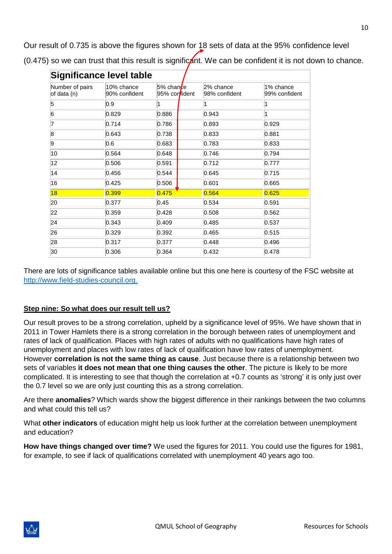Our result of 0.735 is above the figures shown for 18 sets of data at the 95% confidence level (0.475) so we can trust that this result is significant. We can be confident it is not down to chance.

| Significance level table       |                             |                                     |                            |                            |  |  |  |
|--------------------------------|-----------------------------|-------------------------------------|----------------------------|----------------------------|--|--|--|
| Number of pairs<br>of data (n) | 10% chance<br>90% confident | 5% chan <i>t</i> e<br>95% confident | 2% chance<br>98% confident | 1% chance<br>99% confident |  |  |  |
| $\vert 5 \vert$                | 0.9                         |                                     | 1                          |                            |  |  |  |
| 6                              | 0.829                       | 0.886                               | 0.943                      |                            |  |  |  |
| 17                             | 0.714                       | 0.786                               | 0.893                      | 0.929                      |  |  |  |
| 8                              | 0.643                       | 0.738                               | 0.833                      | 0.881                      |  |  |  |
| 9                              | 0.6                         | 0.683                               | 0.783                      | 0.833                      |  |  |  |
| 10                             | 0.564                       | 0.648                               | 0.746                      | 0.794                      |  |  |  |
| 12                             | 0.506                       | 0.591                               | 0.712                      | 0.777                      |  |  |  |
| 14                             | 0.456                       | 0.544                               | 0.645                      | 0.715                      |  |  |  |
| 16                             | 0.425                       | 0.506                               | 0.601                      | 0.665                      |  |  |  |
| 18                             | 0.399                       | 0.475                               | 0.564                      | 0.625                      |  |  |  |
| 20                             | 0.377                       | 0.45                                | 0.534                      | 0.591                      |  |  |  |
| 22                             | 0.359                       | 0.428                               | 0.508                      | 0.562                      |  |  |  |
| 24                             | 0.343                       | 0.409                               | 0.485                      | 0.537                      |  |  |  |
| 26                             | 0.329                       | 0.392                               | 0.465                      | 0.515                      |  |  |  |
| 28                             | 0.317                       | 0.377                               | 0.448                      | 0.496                      |  |  |  |
| 30                             | 0.306                       | 0.364                               | 0.432                      | 0.478                      |  |  |  |

There are lots of significance tables available online but this one here is courtesy of the FSC website at [http://www.field-studies-council.org.](http://www.field-studies-council.org/)

#### **Step nine: So what does our result tell us?**

Our result proves to be a strong correlation, upheld by a significance level of 95%. We have shown that in 2011 in Tower Hamlets there is a strong correlation in the borough between rates of unemployment and rates of lack of qualification. Places with high rates of adults with no qualifications have high rates of unemployment and places with low rates of lack of qualification have low rates of unemployment. However **correlation is not the same thing as cause**. Just because there is a relationship between two sets of variables **it does not mean that one thing causes the other**. The picture is likely to be more complicated. It is interesting to see that though the correlation at +0.7 counts as 'strong' it is only just over the 0.7 level so we are only just counting this as a strong correlation.

Are there **anomalies**? Which wards show the biggest difference in their rankings between the two columns and what could this tell us?

What **other indicators** of education might help us look further at the correlation between unemployment and education?

**How have things changed over time?** We used the figures for 2011. You could use the figures for 1981, for example, to see if lack of qualifications correlated with unemployment 40 years ago too.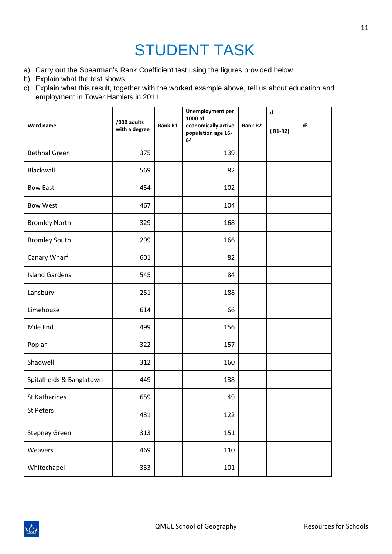# STUDENT TASK:

- a) Carry out the Spearman's Rank Coefficient test using the figures provided below.
- b) Explain what the test shows.
- c) Explain what this result, together with the worked example above, tell us about education and employment in Tower Hamlets in 2011.

| Ward name                 | /000 adults<br>with a degree | Rank R1 | <b>Unemployment per</b><br>1000 of<br>economically active<br>population age 16-<br>64 | Rank R2 | $\mathbf d$<br>$(R1-R2)$ | d <sup>2</sup> |
|---------------------------|------------------------------|---------|---------------------------------------------------------------------------------------|---------|--------------------------|----------------|
| <b>Bethnal Green</b>      | 375                          |         | 139                                                                                   |         |                          |                |
| Blackwall                 | 569                          |         | 82                                                                                    |         |                          |                |
| <b>Bow East</b>           | 454                          |         | 102                                                                                   |         |                          |                |
| <b>Bow West</b>           | 467                          |         | 104                                                                                   |         |                          |                |
| <b>Bromley North</b>      | 329                          |         | 168                                                                                   |         |                          |                |
| <b>Bromley South</b>      | 299                          |         | 166                                                                                   |         |                          |                |
| Canary Wharf              | 601                          |         | 82                                                                                    |         |                          |                |
| <b>Island Gardens</b>     | 545                          |         | 84                                                                                    |         |                          |                |
| Lansbury                  | 251                          |         | 188                                                                                   |         |                          |                |
| Limehouse                 | 614                          |         | 66                                                                                    |         |                          |                |
| Mile End                  | 499                          |         | 156                                                                                   |         |                          |                |
| Poplar                    | 322                          |         | 157                                                                                   |         |                          |                |
| Shadwell                  | 312                          |         | 160                                                                                   |         |                          |                |
| Spitalfields & Banglatown | 449                          |         | 138                                                                                   |         |                          |                |
| <b>St Katharines</b>      | 659                          |         | 49                                                                                    |         |                          |                |
| St Peters                 | 431                          |         | 122                                                                                   |         |                          |                |
| <b>Stepney Green</b>      | 313                          |         | 151                                                                                   |         |                          |                |
| Weavers                   | 469                          |         | 110                                                                                   |         |                          |                |
| Whitechapel               | 333                          |         | 101                                                                                   |         |                          |                |